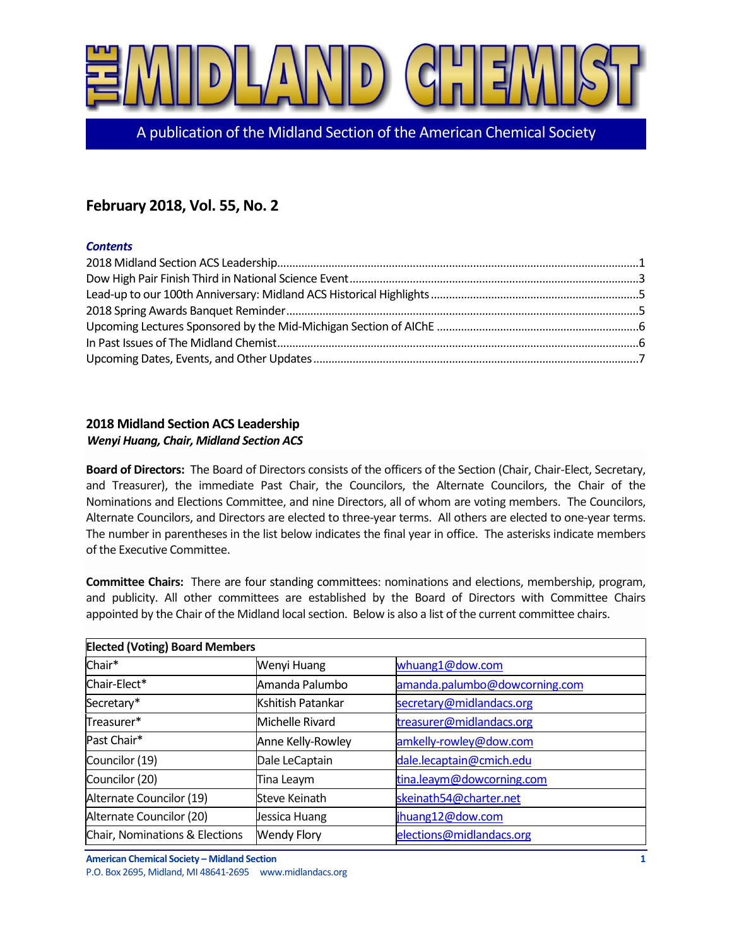

A publication of the Midland Section of the American Chemical Society

# **February 2018, Vol. 55, No. 2**

### *Contents*

# <span id="page-0-0"></span>**2018 Midland Section ACS Leadership**

### *Wenyi Huang, Chair, Midland Section ACS*

**Board of Directors:** The Board of Directors consists of the officers of the Section (Chair, Chair-Elect, Secretary, and Treasurer), the immediate Past Chair, the Councilors, the Alternate Councilors, the Chair of the Nominations and Elections Committee, and nine Directors, all of whom are voting members. The Councilors, Alternate Councilors, and Directors are elected to three-year terms. All others are elected to one-year terms. The number in parentheses in the list below indicates the final year in office. The asterisks indicate members of the Executive Committee.

**Committee Chairs:** There are four standing committees: nominations and elections, membership, program, and publicity. All other committees are established by the Board of Directors with Committee Chairs appointed by the Chair of the Midland local section. Below is also a list of the current committee chairs.

| <b>Elected (Voting) Board Members</b> |                    |                               |  |  |
|---------------------------------------|--------------------|-------------------------------|--|--|
| Chair*                                | Wenyi Huang        | whuang1@dow.com               |  |  |
| Chair-Elect*                          | Amanda Palumbo     | amanda.palumbo@dowcorning.com |  |  |
| Secretary*                            | Kshitish Patankar  | secretary@midlandacs.org      |  |  |
| Treasurer*                            | Michelle Rivard    | treasurer@midlandacs.org      |  |  |
| Past Chair*                           | Anne Kelly-Rowley  | amkelly-rowley@dow.com        |  |  |
| Councilor (19)                        | Dale LeCaptain     | dale.lecaptain@cmich.edu      |  |  |
| Councilor (20)                        | Tina Leaym         | tina.leaym@dowcorning.com     |  |  |
| Alternate Councilor (19)              | Steve Keinath      | skeinath54@charter.net        |  |  |
| Alternate Councilor (20)              | Jessica Huang      | jhuang12@dow.com              |  |  |
| Chair, Nominations & Elections        | <b>Wendy Flory</b> | elections@midlandacs.org      |  |  |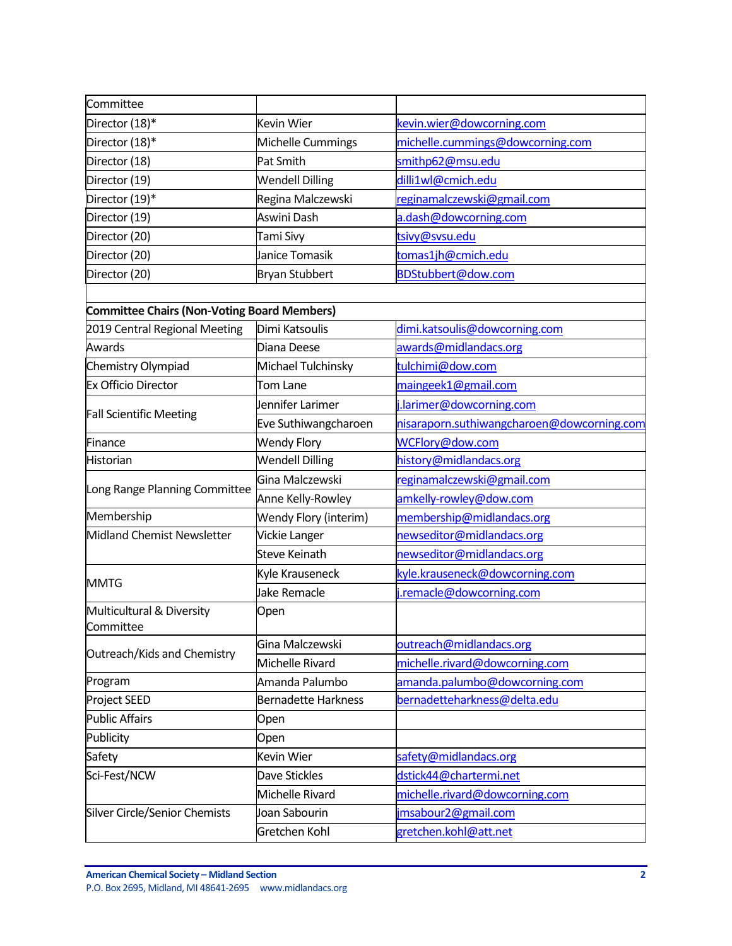| Committee                                          |                            |                                            |
|----------------------------------------------------|----------------------------|--------------------------------------------|
| Director (18)*                                     | <b>Kevin Wier</b>          | kevin.wier@dowcorning.com                  |
| Director (18)*                                     | Michelle Cummings          | michelle.cummings@dowcorning.com           |
| Director (18)                                      | Pat Smith                  | smithp62@msu.edu                           |
| Director (19)                                      | <b>Wendell Dilling</b>     | dilli1wl@cmich.edu                         |
| Director (19)*                                     | Regina Malczewski          | reginamalczewski@gmail.com                 |
| Director (19)                                      | Aswini Dash                | a.dash@dowcorning.com                      |
| Director (20)                                      | Tami Sivy                  | tsivy@svsu.edu                             |
| Director (20)                                      | Janice Tomasik             | tomas1jh@cmich.edu                         |
| Director (20)                                      | <b>Bryan Stubbert</b>      | BDStubbert@dow.com                         |
|                                                    |                            |                                            |
| <b>Committee Chairs (Non-Voting Board Members)</b> |                            |                                            |
| 2019 Central Regional Meeting                      | Dimi Katsoulis             | dimi.katsoulis@dowcorning.com              |
| Awards                                             | Diana Deese                | awards@midlandacs.org                      |
| Chemistry Olympiad                                 | Michael Tulchinsky         | tulchimi@dow.com                           |
| Ex Officio Director                                | Tom Lane                   | maingeek1@gmail.com                        |
| <b>Fall Scientific Meeting</b>                     | Jennifer Larimer           | j.larimer@dowcorning.com                   |
|                                                    | Eve Suthiwangcharoen       | nisaraporn.suthiwangcharoen@dowcorning.com |
| Finance                                            | <b>Wendy Flory</b>         | WCFlory@dow.com                            |
| Historian                                          | <b>Wendell Dilling</b>     | history@midlandacs.org                     |
| Long Range Planning Committee                      | Gina Malczewski            | reginamalczewski@gmail.com                 |
|                                                    | Anne Kelly-Rowley          | amkelly-rowley@dow.com                     |
| Membership                                         | Wendy Flory (interim)      | membership@midlandacs.org                  |
| Midland Chemist Newsletter                         | <b>Vickie Langer</b>       | newseditor@midlandacs.org                  |
|                                                    | <b>Steve Keinath</b>       | newseditor@midlandacs.org                  |
| <b>MMTG</b>                                        | Kyle Krauseneck            | kyle.krauseneck@dowcorning.com             |
|                                                    | Jake Remacle               | j.remacle@dowcorning.com                   |
| Multicultural & Diversity<br>Committee             | Open                       |                                            |
|                                                    | Gina Malczewski            | outreach@midlandacs.org                    |
| Outreach/Kids and Chemistry                        | Michelle Rivard            | michelle.rivard@dowcorning.com             |
| Program                                            | Amanda Palumbo             | amanda.palumbo@dowcorning.com              |
| Project SEED                                       | <b>Bernadette Harkness</b> | bernadetteharkness@delta.edu               |
| <b>Public Affairs</b>                              | Open                       |                                            |
| Publicity                                          | Open                       |                                            |
| Safety                                             | Kevin Wier                 | safety@midlandacs.org                      |
| Sci-Fest/NCW                                       | Dave Stickles              | dstick44@chartermi.net                     |
|                                                    | Michelle Rivard            | michelle.rivard@dowcorning.com             |
| Silver Circle/Senior Chemists                      | Joan Sabourin              | jmsabour2@gmail.com                        |
|                                                    | Gretchen Kohl              | gretchen.kohl@att.net                      |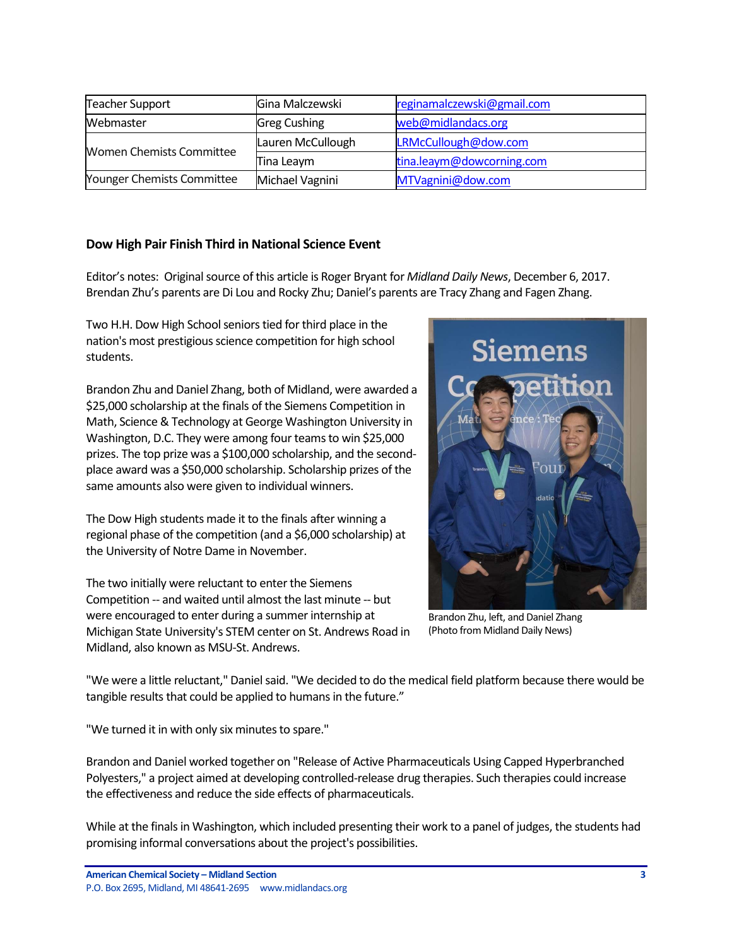| <b>Teacher Support</b>          | Gina Malczewski     | reginamalczewski@gmail.com |
|---------------------------------|---------------------|----------------------------|
| Webmaster                       | <b>Greg Cushing</b> | web@midlandacs.org         |
| <b>Women Chemists Committee</b> | Lauren McCullough   | LRMcCullough@dow.com       |
|                                 | Tina Leaym          | tina.leaym@dowcorning.com  |
| Younger Chemists Committee      | Michael Vagnini     | MTVagnini@dow.com          |

### <span id="page-2-0"></span>**Dow High Pair Finish Third in National Science Event**

Editor's notes: Original source of this article is Roger Bryant for *Midland Daily News*, December 6, 2017. Brendan Zhu's parents are Di Lou and Rocky Zhu; Daniel's parents are Tracy Zhang and Fagen Zhang.

Two H.H. Dow High School seniors tied for third place in the nation's most prestigious science competition for high school students.

Brandon Zhu and Daniel Zhang, both of Midland, were awarded a \$25,000 scholarship at the finals of the Siemens Competition in Math, Science & Technology at George Washington University in Washington, D.C. They were among four teams to win \$25,000 prizes. The top prize was a \$100,000 scholarship, and the secondplace award was a \$50,000 scholarship. Scholarship prizes of the same amounts also were given to individual winners.

The Dow High students made it to the finals after winning a regional phase of the competition (and a \$6,000 scholarship) at the University of Notre Dame in November.

The two initially were reluctant to enter the Siemens Competition -- and waited until almost the last minute -- but were encouraged to enter during a summer internship at Michigan State University's STEM center on St. Andrews Road in Midland, also known as MSU-St. Andrews.



Brandon Zhu, left, and Daniel Zhang (Photo from Midland Daily News)

"We were a little reluctant," Daniel said. "We decided to do the medical field platform because there would be tangible results that could be applied to humans in the future."

"We turned it in with only six minutes to spare."

Brandon and Daniel worked together on "Release of Active Pharmaceuticals Using Capped Hyperbranched Polyesters," a project aimed at developing controlled-release drug therapies. Such therapies could increase the effectiveness and reduce the side effects of pharmaceuticals.

While at the finals in Washington, which included presenting their work to a panel of judges, the students had promising informal conversations about the project's possibilities.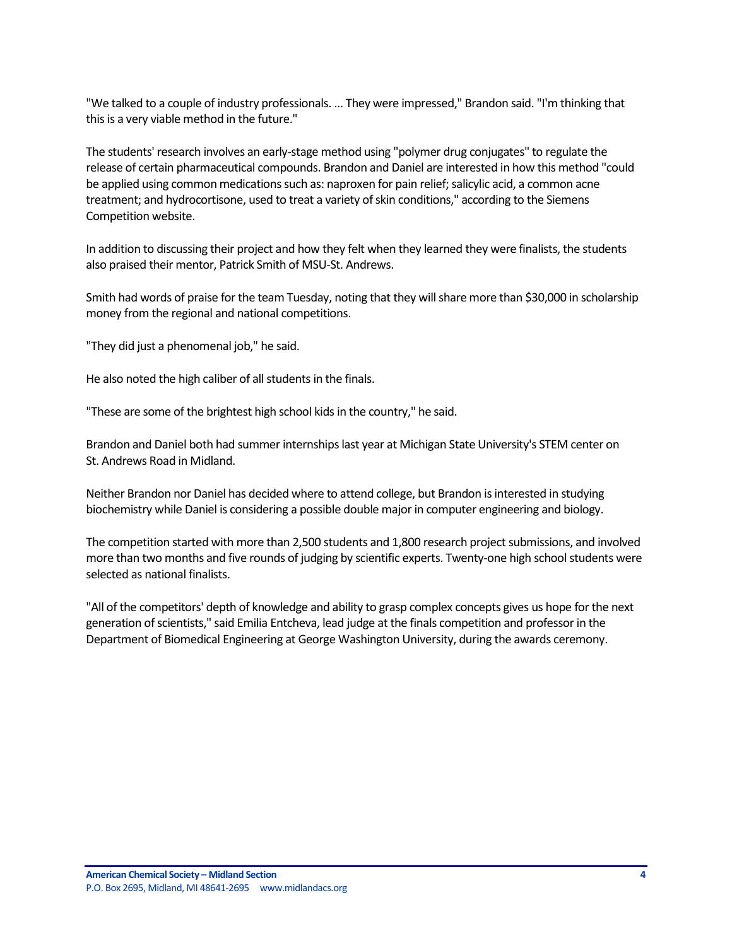"We talked to a couple of industry professionals. ... They were impressed," Brandon said. "I'm thinking that this is a very viable method in the future."

The students' research involves an early-stage method using "polymer drug conjugates" to regulate the release of certain pharmaceutical compounds. Brandon and Daniel are interested in how this method "could be applied using common medications such as: naproxen for pain relief; salicylic acid, a common acne treatment; and hydrocortisone, used to treat a variety of skin conditions," according to the Siemens Competition website.

In addition to discussing their project and how they felt when they learned they were finalists, the students also praised their mentor, Patrick Smith of MSU-St. Andrews.

Smith had words of praise for the team Tuesday, noting that they will share more than \$30,000 in scholarship money from the regional and national competitions.

"They did just a phenomenal job," he said.

He also noted the high caliber of all students in the finals.

"These are some of the brightest high school kids in the country," he said.

Brandon and Daniel both had summer internships last year at Michigan State University's STEM center on St. Andrews Road in Midland.

Neither Brandon nor Daniel has decided where to attend college, but Brandon is interested in studying biochemistry while Daniel is considering a possible double major in computer engineering and biology.

The competition started with more than 2,500 students and 1,800 research project submissions, and involved more than two months and five rounds of judging by scientific experts. Twenty-one high school students were selected as national finalists.

"All of the competitors' depth of knowledge and ability to grasp complex concepts gives us hope for the next generation of scientists," said Emilia Entcheva, lead judge at the finals competition and professor in the Department of Biomedical Engineering at George Washington University, during the awards ceremony.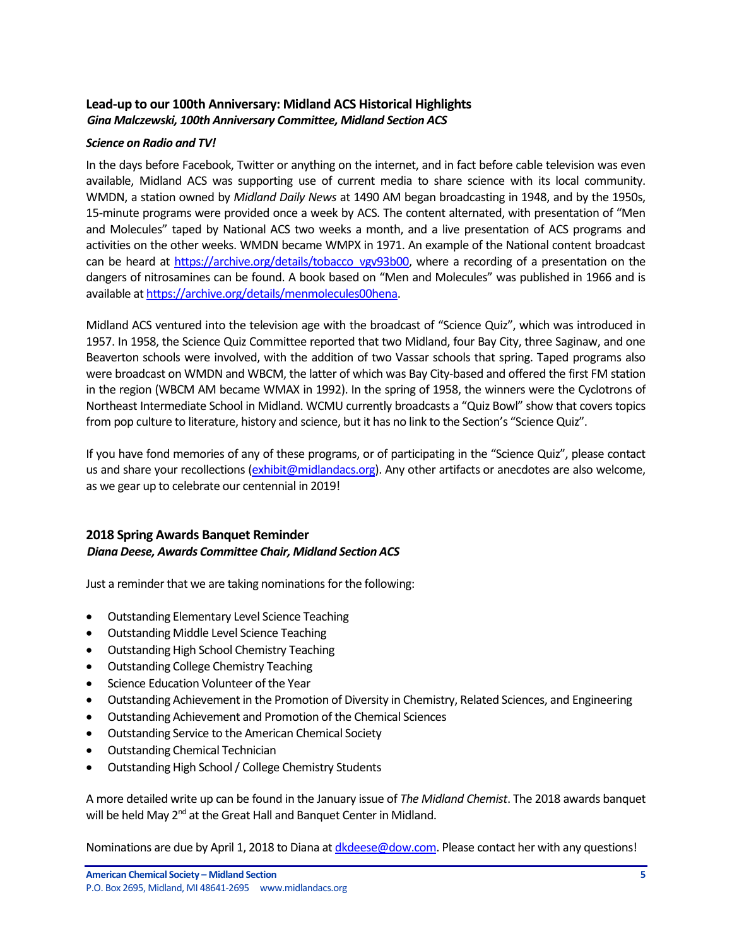# <span id="page-4-0"></span>**Lead-up to our 100th Anniversary: Midland ACS Historical Highlights** *Gina Malczewski, 100th Anniversary Committee, Midland Section ACS*

### *Science on Radio and TV!*

In the days before Facebook, Twitter or anything on the internet, and in fact before cable television was even available, Midland ACS was supporting use of current media to share science with its local community. WMDN, a station owned by *Midland Daily News* at 1490 AM began broadcasting in 1948, and by the 1950s, 15-minute programs were provided once a week by ACS. The content alternated, with presentation of "Men and Molecules" taped by National ACS two weeks a month, and a live presentation of ACS programs and activities on the other weeks. WMDN became WMPX in 1971. An example of the National content broadcast can be heard at [https://archive.org/details/tobacco\\_vgv93b00,](https://archive.org/details/tobacco_vgv93b00) where a recording of a presentation on the dangers of nitrosamines can be found. A book based on "Men and Molecules" was published in 1966 and is available a[t https://archive.org/details/menmolecules00hena.](https://archive.org/details/menmolecules00hena)

Midland ACS ventured into the television age with the broadcast of "Science Quiz", which was introduced in 1957. In 1958, the Science Quiz Committee reported that two Midland, four Bay City, three Saginaw, and one Beaverton schools were involved, with the addition of two Vassar schools that spring. Taped programs also were broadcast on WMDN and WBCM, the latter of which was Bay City-based and offered the first FM station in the region (WBCM AM became WMAX in 1992). In the spring of 1958, the winners were the Cyclotrons of Northeast Intermediate School in Midland. WCMU currently broadcasts a "Quiz Bowl" show that covers topics from pop culture to literature, history and science, but it has no link to the Section's "Science Quiz".

If you have fond memories of any of these programs, or of participating in the "Science Quiz", please contact us and share your recollections [\(exhibit@midlandacs.org\)](mailto:exhibit@midlandacs.org). Any other artifacts or anecdotes are also welcome, as we gear up to celebrate our centennial in 2019!

## <span id="page-4-1"></span>**2018 Spring Awards Banquet Reminder** *Diana Deese, Awards Committee Chair, Midland Section ACS*

Just a reminder that we are taking nominations for the following:

- Outstanding Elementary Level Science Teaching
- Outstanding Middle Level Science Teaching
- Outstanding High School Chemistry Teaching
- Outstanding College Chemistry Teaching
- **•** Science Education Volunteer of the Year
- Outstanding Achievement in the Promotion of Diversity in Chemistry, Related Sciences, and Engineering
- Outstanding Achievement and Promotion of the Chemical Sciences
- Outstanding Service to the American Chemical Society
- Outstanding Chemical Technician
- Outstanding High School / College Chemistry Students

A more detailed write up can be found in the January issue of *The Midland Chemist*. The 2018 awards banquet will be held May 2<sup>nd</sup> at the Great Hall and Banquet Center in Midland.

Nominations are due by April 1, 2018 to Diana at [dkdeese@dow.com.](mailto:dkdeese@dow.com) Please contact her with any questions!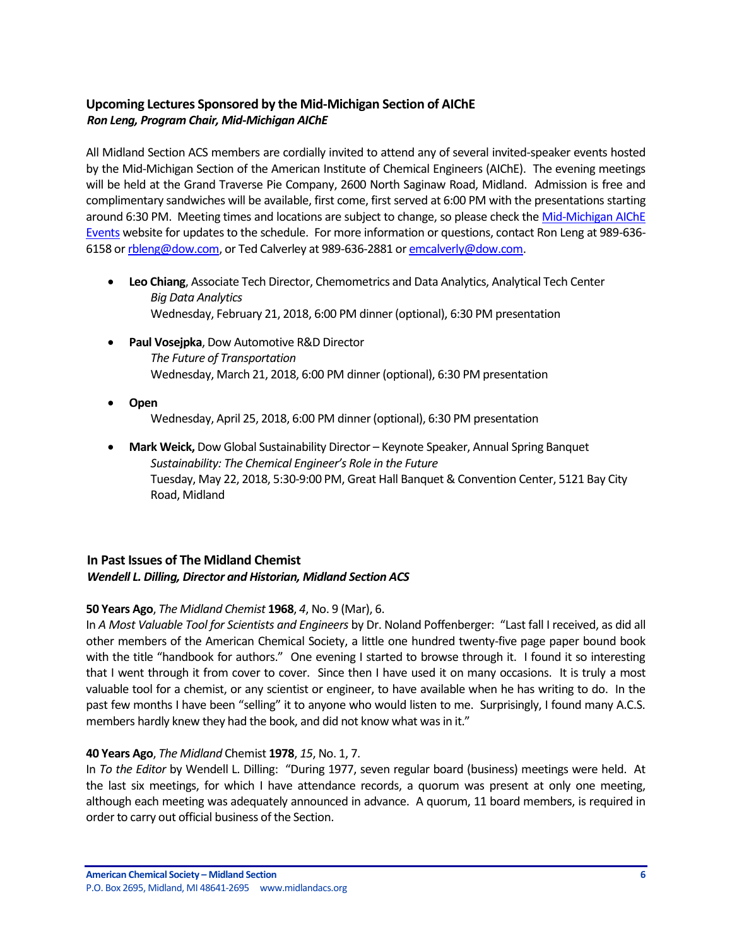# <span id="page-5-0"></span>**Upcoming Lectures Sponsored by the Mid-Michigan Section of AIChE** *Ron Leng, Program Chair, Mid-Michigan AIChE*

All Midland Section ACS members are cordially invited to attend any of several invited-speaker events hosted by the Mid-Michigan Section of the American Institute of Chemical Engineers (AIChE). The evening meetings will be held at the Grand Traverse Pie Company, 2600 North Saginaw Road, Midland. Admission is free and complimentary sandwiches will be available, first come, first served at 6:00 PM with the presentations starting around 6:30 PM. Meeting times and locations are subject to change, so please check th[e Mid-Michigan AIChE](https://www.aiche.org/community/sites/local-sections/mid-michigan/events)  [Events](https://www.aiche.org/community/sites/local-sections/mid-michigan/events) website for updates to the schedule. For more information or questions, contact Ron Leng at 989-636- 6158 o[r rbleng@dow.com,](mailto:rbleng@dow.com) or Ted Calverley at 989-636-2881 o[r emcalverly@dow.com.](mailto:emcalverly@dow.com)

- **Leo Chiang**, Associate Tech Director, Chemometrics and Data Analytics, Analytical Tech Center *Big Data Analytics* Wednesday, February 21, 2018, 6:00 PM dinner (optional), 6:30 PM presentation
- **Paul Vosejpka**, Dow Automotive R&D Director *The Future of Transportation* Wednesday, March 21, 2018, 6:00 PM dinner (optional), 6:30 PM presentation
- **Open** Wednesday, April 25, 2018, 6:00 PM dinner (optional), 6:30 PM presentation
- **Mark Weick,** Dow Global Sustainability Director Keynote Speaker, Annual Spring Banquet *Sustainability: The Chemical Engineer's Role in the Future* Tuesday, May 22, 2018, 5:30-9:00 PM, Great Hall Banquet & Convention Center, 5121 Bay City Road, Midland

# <span id="page-5-1"></span>**In Past Issues of The Midland Chemist**

## *Wendell L. Dilling, Director and Historian, Midland Section ACS*

## **50 Years Ago**, *The Midland Chemist* **1968**, *4*, No. 9 (Mar), 6.

In *A Most Valuable Tool for Scientists and Engineers* by Dr. Noland Poffenberger: "Last fall I received, as did all other members of the American Chemical Society, a little one hundred twenty-five page paper bound book with the title "handbook for authors." One evening I started to browse through it. I found it so interesting that I went through it from cover to cover. Since then I have used it on many occasions. It is truly a most valuable tool for a chemist, or any scientist or engineer, to have available when he has writing to do. In the past few months I have been "selling" it to anyone who would listen to me. Surprisingly, I found many A.C.S. members hardly knew they had the book, and did not know what was in it."

### **40 Years Ago**, *The Midland* Chemist **1978**, *15*, No. 1, 7.

In *To the Editor* by Wendell L. Dilling: "During 1977, seven regular board (business) meetings were held. At the last six meetings, for which I have attendance records, a quorum was present at only one meeting, although each meeting was adequately announced in advance. A quorum, 11 board members, is required in order to carry out official business of the Section.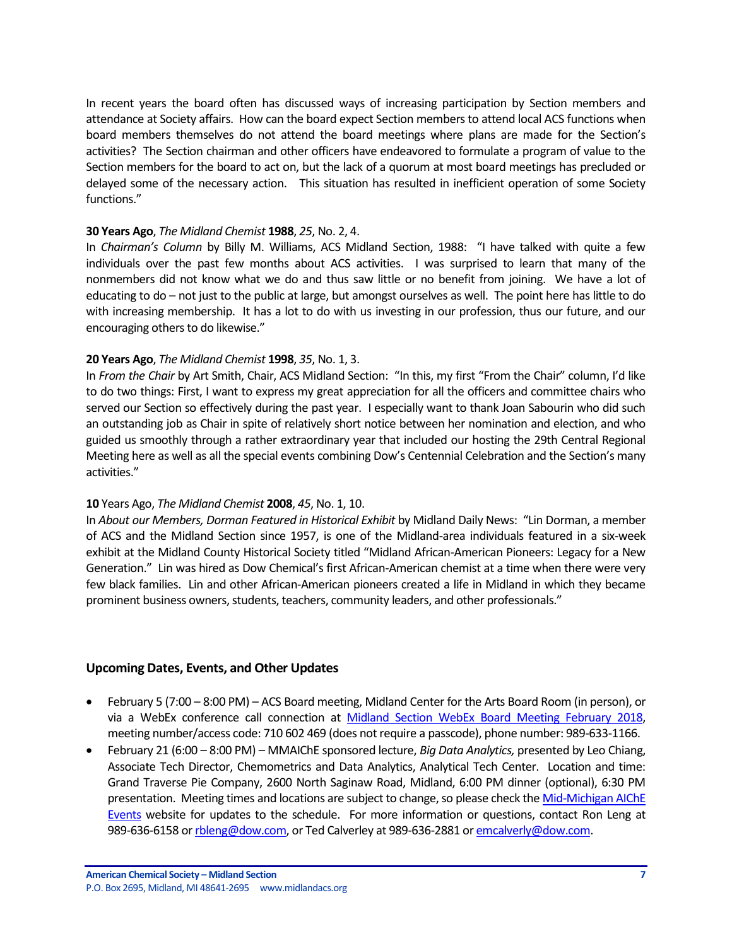In recent years the board often has discussed ways of increasing participation by Section members and attendance at Society affairs. How can the board expect Section members to attend local ACS functions when board members themselves do not attend the board meetings where plans are made for the Section's activities? The Section chairman and other officers have endeavored to formulate a program of value to the Section members for the board to act on, but the lack of a quorum at most board meetings has precluded or delayed some of the necessary action. This situation has resulted in inefficient operation of some Society functions."

#### **30 Years Ago**, *The Midland Chemist* **1988**, *25*, No. 2, 4.

In *Chairman's Column* by Billy M. Williams, ACS Midland Section, 1988: "I have talked with quite a few individuals over the past few months about ACS activities. I was surprised to learn that many of the nonmembers did not know what we do and thus saw little or no benefit from joining. We have a lot of educating to do – not just to the public at large, but amongst ourselves as well. The point here has little to do with increasing membership. It has a lot to do with us investing in our profession, thus our future, and our encouraging others to do likewise."

### **20 Years Ago**, *The Midland Chemist* **1998**, *35*, No. 1, 3.

In *From the Chair* by Art Smith, Chair, ACS Midland Section: "In this, my first "From the Chair" column, I'd like to do two things: First, I want to express my great appreciation for all the officers and committee chairs who served our Section so effectively during the past year. I especially want to thank Joan Sabourin who did such an outstanding job as Chair in spite of relatively short notice between her nomination and election, and who guided us smoothly through a rather extraordinary year that included our hosting the 29th Central Regional Meeting here as well as all the special events combining Dow's Centennial Celebration and the Section's many activities."

### **10** Years Ago, *The Midland Chemist* **2008**, *45*, No. 1, 10.

In *About our Members, Dorman Featured in Historical Exhibit* by Midland Daily News: "Lin Dorman, a member of ACS and the Midland Section since 1957, is one of the Midland-area individuals featured in a six-week exhibit at the Midland County Historical Society titled "Midland African-American Pioneers: Legacy for a New Generation." Lin was hired as Dow Chemical's first African-American chemist at a time when there were very few black families. Lin and other African-American pioneers created a life in Midland in which they became prominent business owners, students, teachers, community leaders, and other professionals."

### <span id="page-6-0"></span>**Upcoming Dates, Events, and Other Updates**

- February 5 (7:00 8:00 PM) ACS Board meeting, Midland Center for the Arts Board Room (in person), or via a WebEx conference call connection at [Midland Section WebEx Board Meeting February 2018,](https://dow.webex.com/dow/j.php?MTID=mcfe3e554ddcb965193459547c2803a47) meeting number/access code: 710 602 469 (does not require a passcode), phone number: 989-633-1166.
- February 21 (6:00 8:00 PM) MMAIChE sponsored lecture, *Big Data Analytics,* presented by Leo Chiang, Associate Tech Director, Chemometrics and Data Analytics, Analytical Tech Center. Location and time: Grand Traverse Pie Company, 2600 North Saginaw Road, Midland, 6:00 PM dinner (optional), 6:30 PM presentation. Meeting times and locations are subject to change, so please check the Mid-Michigan AIChE [Events](https://www.aiche.org/community/sites/local-sections/mid-michigan/events) website for updates to the schedule. For more information or questions, contact Ron Leng at 989-636-6158 o[r rbleng@dow.com,](mailto:rbleng@dow.com) or Ted Calverley at 989-636-2881 o[r emcalverly@dow.com.](mailto:emcalverly@dow.com)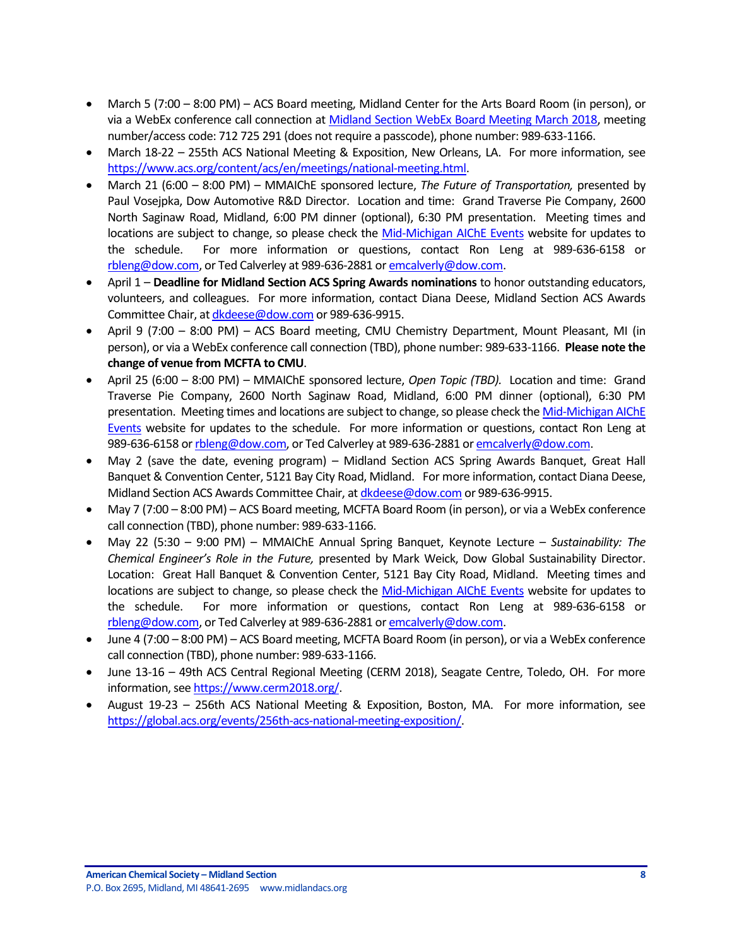- March 5 (7:00 8:00 PM) ACS Board meeting, Midland Center for the Arts Board Room (in person), or via a WebEx conference call connection at [Midland Section WebEx Board Meeting March 2018,](https://dow.webex.com/dow/j.php?MTID=macdc364fdb3a0b1ad3e59f62f6024f53) meeting number/access code: 712 725 291 (does not require a passcode), phone number: 989-633-1166.
- March 18-22 255th ACS National Meeting & Exposition, New Orleans, LA. For more information, see [https://www.acs.org/content/acs/en/meetings/national-meeting.html.](https://www.acs.org/content/acs/en/meetings/national-meeting.html)
- March 21 (6:00 8:00 PM) MMAIChE sponsored lecture, *The Future of Transportation,* presented by Paul Vosejpka, Dow Automotive R&D Director. Location and time: Grand Traverse Pie Company, 2600 North Saginaw Road, Midland, 6:00 PM dinner (optional), 6:30 PM presentation. Meeting times and locations are subject to change, so please check the [Mid-Michigan AIChE Events](https://www.aiche.org/community/sites/local-sections/mid-michigan/events) website for updates to the schedule. For more information or questions, contact Ron Leng at 989-636-6158 or [rbleng@dow.com,](mailto:rbleng@dow.com) or Ted Calverley at 989-636-2881 o[r emcalverly@dow.com.](mailto:emcalverly@dow.com)
- April 1 **Deadline for Midland Section ACS Spring Awards nominations** to honor outstanding educators, volunteers, and colleagues. For more information, contact Diana Deese, Midland Section ACS Awards Committee Chair, a[t dkdeese@dow.com](mailto:dkdeese@dow.com) or 989-636-9915.
- April 9 (7:00 8:00 PM) ACS Board meeting, CMU Chemistry Department, Mount Pleasant, MI (in person), or via a WebEx conference call connection (TBD), phone number: 989-633-1166. **Please note the change of venue from MCFTA to CMU**.
- April 25 (6:00 8:00 PM) MMAIChE sponsored lecture, *Open Topic (TBD).* Location and time: Grand Traverse Pie Company, 2600 North Saginaw Road, Midland, 6:00 PM dinner (optional), 6:30 PM presentation. Meeting times and locations are subject to change, so please check th[e Mid-Michigan AIChE](https://www.aiche.org/community/sites/local-sections/mid-michigan/events)  [Events](https://www.aiche.org/community/sites/local-sections/mid-michigan/events) website for updates to the schedule. For more information or questions, contact Ron Leng at 989-636-6158 o[r rbleng@dow.com,](mailto:rbleng@dow.com) or Ted Calverley at 989-636-2881 o[r emcalverly@dow.com.](mailto:emcalverly@dow.com)
- May 2 (save the date, evening program) Midland Section ACS Spring Awards Banquet, Great Hall Banquet & Convention Center, 5121 Bay City Road, Midland. For more information, contact Diana Deese, Midland Section ACS Awards Committee Chair, a[t dkdeese@dow.com](mailto:dkdeese@dow.com) or 989-636-9915.
- May 7 (7:00 8:00 PM) ACS Board meeting, MCFTA Board Room (in person), or via a WebEx conference call connection (TBD), phone number: 989-633-1166.
- May 22 (5:30 9:00 PM) MMAIChE Annual Spring Banquet, Keynote Lecture *Sustainability: The Chemical Engineer's Role in the Future,* presented by Mark Weick, Dow Global Sustainability Director. Location: Great Hall Banquet & Convention Center, 5121 Bay City Road, Midland. Meeting times and locations are subject to change, so please check the [Mid-Michigan AIChE Events](https://www.aiche.org/community/sites/local-sections/mid-michigan/events) website for updates to the schedule. For more information or questions, contact Ron Leng at 989-636-6158 or [rbleng@dow.com,](mailto:rbleng@dow.com) or Ted Calverley at 989-636-2881 o[r emcalverly@dow.com.](mailto:emcalverly@dow.com)
- June 4 (7:00 8:00 PM) ACS Board meeting, MCFTA Board Room (in person), or via a WebEx conference call connection (TBD), phone number: 989-633-1166.
- June 13-16 49th ACS Central Regional Meeting (CERM 2018), Seagate Centre, Toledo, OH. For more information, see [https://www.cerm2018.org/.](https://www.cerm2018.org/)
- August 19-23 256th ACS National Meeting & Exposition, Boston, MA. For more information, see [https://global.acs.org/events/256th-acs-national-meeting-exposition/.](https://global.acs.org/events/256th-acs-national-meeting-exposition/)